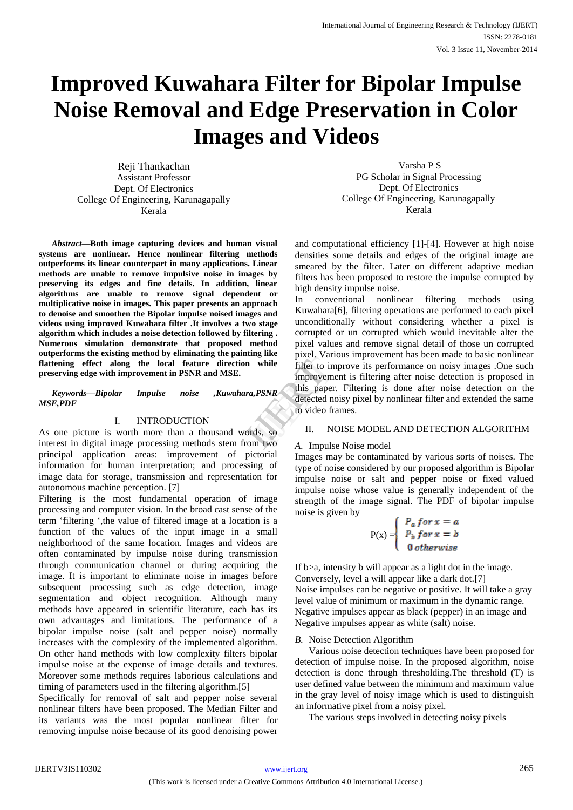# **Improved Kuwahara Filter for Bipolar Impulse Noise Removal and Edge Preservation in Color Images and Videos**

Reji Thankachan Assistant Professor Dept. Of Electronics College Of Engineering, Karunagapally Kerala

*Abstract***—Both image capturing devices and human visual systems are nonlinear. Hence nonlinear filtering methods outperforms its linear counterpart in many applications. Linear methods are unable to remove impulsive noise in images by preserving its edges and fine details. In addition, linear algorithms are unable to remove signal dependent or multiplicative noise in images. This paper presents an approach to denoise and smoothen the Bipolar impulse noised images and videos using improved Kuwahara filter .It involves a two stage algorithm which includes a noise detection followed by filtering . Numerous simulation demonstrate that proposed method outperforms the existing method by eliminating the painting like flattening effect along the local feature direction while preserving edge with improvement in PSNR and MSE.**

*Keywords—Bipolar Impulse noise ,Kuwahara,PSNR MSE,PDF*

# I. INTRODUCTION

As one picture is worth more than a thousand words, so interest in digital image processing methods stem from two principal application areas: improvement of pictorial information for human interpretation; and processing of image data for storage, transmission and representation for autonomous machine perception. [7]

Filtering is the most fundamental operation of image processing and computer vision. In the broad cast sense of the term "filtering ",the value of filtered image at a location is a function of the values of the input image in a small neighborhood of the same location. Images and videos are often contaminated by impulse noise during transmission through communication channel or during acquiring the image. It is important to eliminate noise in images before subsequent processing such as edge detection, image segmentation and object recognition. Although many methods have appeared in scientific literature, each has its own advantages and limitations. The performance of a bipolar impulse noise (salt and pepper noise) normally increases with the complexity of the implemented algorithm. On other hand methods with low complexity filters bipolar impulse noise at the expense of image details and textures. Moreover some methods requires laborious calculations and timing of parameters used in the filtering algorithm.[5]

Specifically for removal of salt and pepper noise several nonlinear filters have been proposed. The Median Filter and its variants was the most popular nonlinear filter for removing impulse noise because of its good denoising power

Varsha P S PG Scholar in Signal Processing Dept. Of Electronics College Of Engineering, Karunagapally Kerala

and computational efficiency [1]-[4]. However at high noise densities some details and edges of the original image are smeared by the filter. Later on different adaptive median filters has been proposed to restore the impulse corrupted by high density impulse noise.

In conventional nonlinear filtering methods using Kuwahara[6], filtering operations are performed to each pixel unconditionally without considering whether a pixel is corrupted or un corrupted which would inevitable alter the pixel values and remove signal detail of those un corrupted pixel. Various improvement has been made to basic nonlinear filter to improve its performance on noisy images .One such improvement is filtering after noise detection is proposed in this paper. Filtering is done after noise detection on the detected noisy pixel by nonlinear filter and extended the same to video frames. while<br>
while<br>
filter to improvement<br>
Inprovement<br>
detected nois<br>
to video fram<br>
ds, so<br>
II. NOI<br>
ME A Impulse N

# II. NOISE MODEL AND DETECTION ALGORITHM

# *A.* Impulse Noise model

Images may be contaminated by various sorts of noises. The type of noise considered by our proposed algorithm is Bipolar impulse noise or salt and pepper noise or fixed valued impulse noise whose value is generally independent of the strength of the image signal. The PDF of bipolar impulse noise is given by

$$
P(x) = \begin{cases} P_a \text{ for } x = a \\ P_b \text{ for } x = b \\ 0 \text{ otherwise} \end{cases}
$$

If b>a, intensity b will appear as a light dot in the image. Conversely, level a will appear like a dark dot.[7] Noise impulses can be negative or positive. It will take a gray level value of minimum or maximum in the dynamic range. Negative impulses appear as black (pepper) in an image and Negative impulses appear as white (salt) noise.

# *B.* Noise Detection Algorithm

Various noise detection techniques have been proposed for detection of impulse noise. In the proposed algorithm, noise detection is done through thresholding.The threshold (T) is user defined value between the minimum and maximum value in the gray level of noisy image which is used to distinguish an informative pixel from a noisy pixel.

The various steps involved in detecting noisy pixels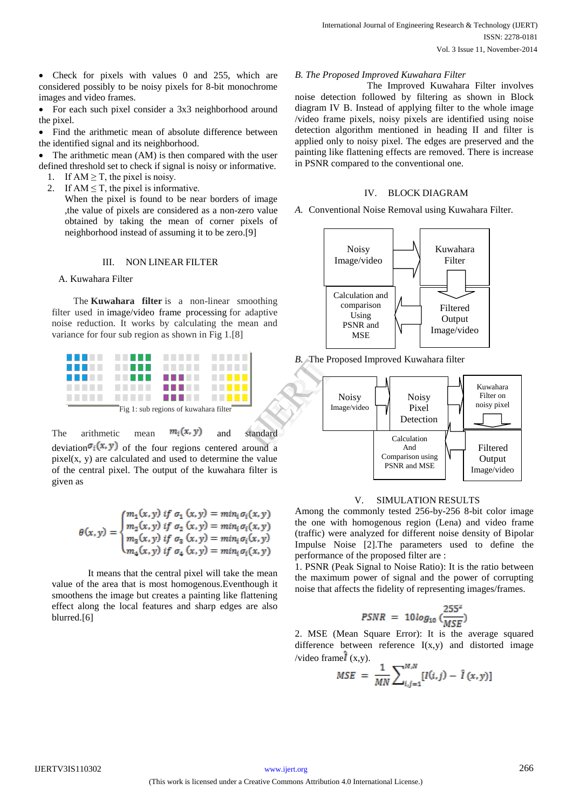Check for pixels with values 0 and 255, which are considered possibly to be noisy pixels for 8-bit monochrome images and video frames.

• For each such pixel consider a 3x3 neighborhood around the pixel.

 Find the arithmetic mean of absolute difference between the identified signal and its neighborhood.

 The arithmetic mean (AM) is then compared with the user defined threshold set to check if signal is noisy or informative.

- 1. If  $AM \geq T$ , the pixel is noisy.
- 2. If  $AM \leq T$ , the pixel is informative.

When the pixel is found to be near borders of image ,the value of pixels are considered as a non-zero value obtained by taking the mean of corner pixels of neighborhood instead of assuming it to be zero.[9]

# III. NON LINEAR FILTER

# A. Kuwahara Filter

The **Kuwahara filter** is a non-linear smoothing filter used in image/video frame processing for adaptive noise reduction. It works by calculating the mean and variance for four sub region as shown in Fig 1.[8]



The arithmetic mean  $m_i(x, y)$  and standard deviation  $\sigma_i(x, y)$  of the four regions centered around a  $pixel(x, y)$  are calculated and used to determine the value of the central pixel. The output of the kuwahara filter is given as

$$
\theta(x,y) = \begin{cases} m_1(x,y) \text{ if } \sigma_1(x,y) = min_i \sigma_i(x,y) \\ m_2(x,y) \text{ if } \sigma_2(x,y) = min_i \sigma_i(x,y) \\ m_3(x,y) \text{ if } \sigma_3(x,y) = min_i \sigma_i(x,y) \\ m_4(x,y) \text{ if } \sigma_4(x,y) = min_i \sigma_i(x,y) \end{cases}
$$

 It means that the central pixel will take the mean value of the area that is most homogenous.Eventhough it smoothens the image but creates a painting like flattening effect along the local features and sharp edges are also blurred.[6]

#### *B. The Proposed Improved Kuwahara Filter*

 The Improved Kuwahara Filter involves noise detection followed by filtering as shown in Block diagram IV B. Instead of applying filter to the whole image /video frame pixels, noisy pixels are identified using noise detection algorithm mentioned in heading II and filter is applied only to noisy pixel. The edges are preserved and the painting like flattening effects are removed. There is increase in PSNR compared to the conventional one.

# IV. BLOCK DIAGRAM

*A.* Conventional Noise Removal using Kuwahara Filter*.*



*B.* The Proposed Improved Kuwahara filter



# V. SIMULATION RESULTS

Among the commonly tested 256-by-256 8-bit color image the one with homogenous region (Lena) and video frame (traffic) were analyzed for different noise density of Bipolar Impulse Noise [2].The parameters used to define the performance of the proposed filter are :

1. PSNR (Peak Signal to Noise Ratio): It is the ratio between the maximum power of signal and the power of corrupting noise that affects the fidelity of representing images/frames.

$$
PSNR = 10 \log_{10} \left( \frac{255^2}{MSE} \right)
$$

2. MSE (Mean Square Error): It is the average squared difference between reference I(x,y) and distorted image /video frame $\hat{\mathbf{I}}$  (x,y).

$$
MSE = \frac{1}{MN} \sum_{i,j=1}^{M,N} [I(i,j) - \hat{I}(x,y)]
$$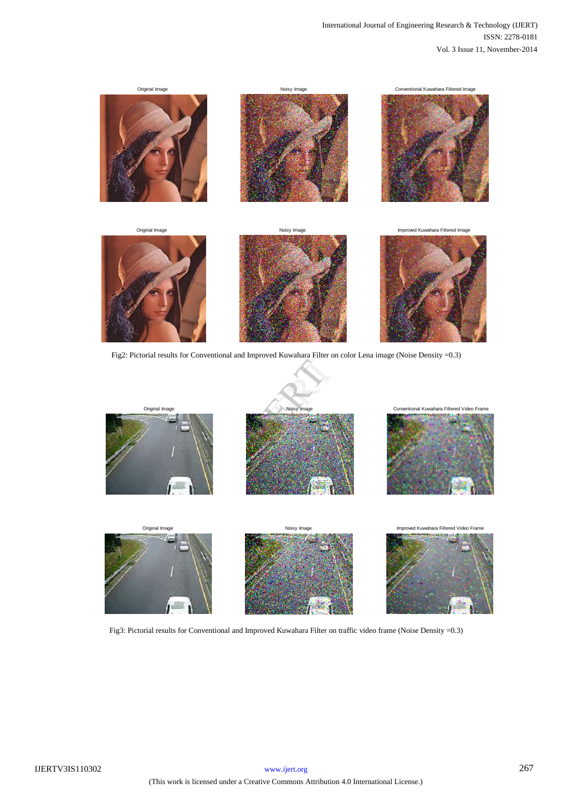

Fig2: Pictorial results for Conventional and Improved Kuwahara Filter on color Lena image (Noise Density =0.3)

j











Fig3: Pictorial results for Conventional and Improved Kuwahara Filter on traffic video frame (Noise Density =0.3)